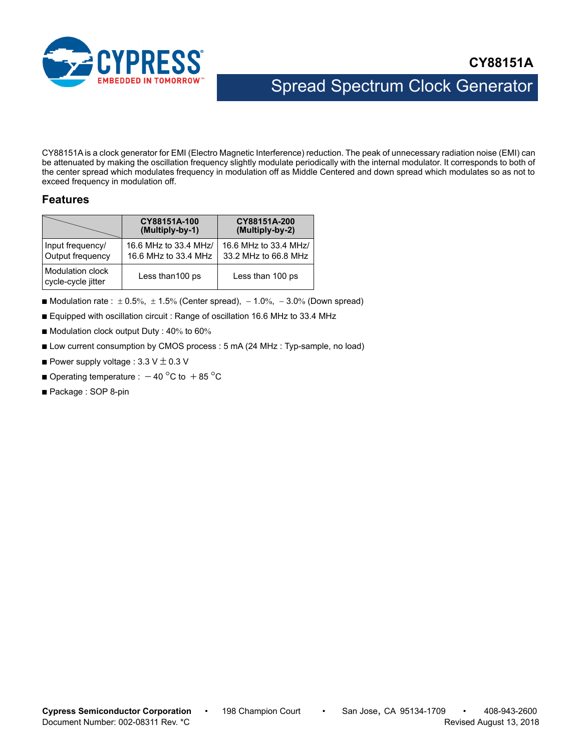

# Spread Spectrum Clock Generator

CY88151A is a clock generator for EMI (Electro Magnetic Interference) reduction. The peak of unnecessary radiation noise (EMI) can be attenuated by making the oscillation frequency slightly modulate periodically with the internal modulator. It corresponds to both of the center spread which modulates frequency in modulation off as Middle Centered and down spread which modulates so as not to exceed frequency in modulation off.

### **Features**

|                                        | CY88151A-100<br>(Multiply-by-1)               | CY88151A-200<br>(Multiply-by-2)               |  |  |
|----------------------------------------|-----------------------------------------------|-----------------------------------------------|--|--|
| Input frequency/<br>Output frequency   | 16.6 MHz to 33.4 MHz/<br>16.6 MHz to 33.4 MHz | 16.6 MHz to 33.4 MHz/<br>33.2 MHz to 66.8 MHz |  |  |
| Modulation clock<br>cycle-cycle jitter | Less than 100 ps                              | Less than 100 ps                              |  |  |

- Modulation rate :  $\pm 0.5\%$ ,  $\pm 1.5\%$  (Center spread),  $-1.0\%$ ,  $-3.0\%$  (Down spread)
- Equipped with oscillation circuit : Range of oscillation 16.6 MHz to 33.4 MHz
- $\blacksquare$  Modulation clock output Duty : 40% to 60%
- Low current consumption by CMOS process : 5 mA (24 MHz : Typ-sample, no load)
- **Power supply voltage : 3.3 V**  $\pm$  **0.3 V**
- **Operating temperature :**  $-40^{\circ}$ C to  $+85^{\circ}$ C
- Package : SOP 8-pin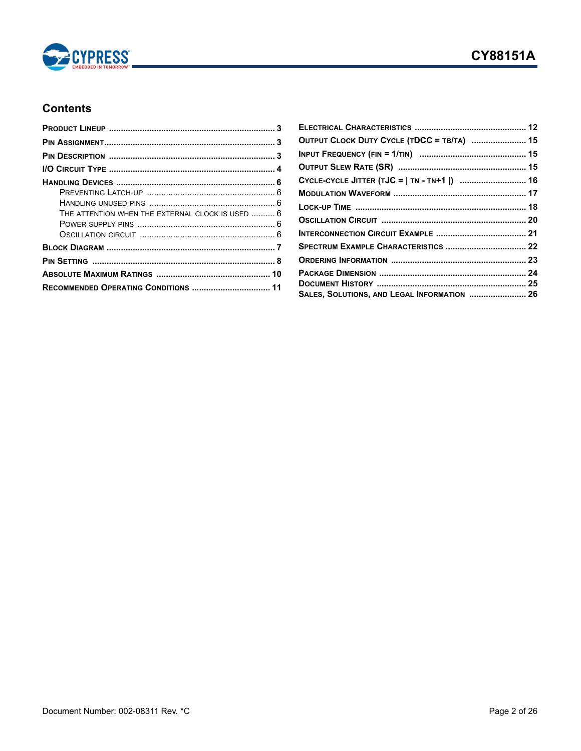

## **Contents**

| THE ATTENTION WHEN THE EXTERNAL CLOCK IS USED  6 |  |
|--------------------------------------------------|--|
|                                                  |  |
|                                                  |  |
|                                                  |  |
|                                                  |  |
|                                                  |  |
| RECOMMENDED OPERATING CONDITIONS  11             |  |

| OUTPUT CLOCK DUTY CYCLE (TDCC = TB/TA)  15   |  |
|----------------------------------------------|--|
|                                              |  |
|                                              |  |
| CYCLE-CYCLE JITTER (TJC =   TN - TN+1  )  16 |  |
|                                              |  |
|                                              |  |
|                                              |  |
|                                              |  |
| SPECTRUM EXAMPLE CHARACTERISTICS  22         |  |
|                                              |  |
|                                              |  |
|                                              |  |
| SALES, SOLUTIONS, AND LEGAL INFORMATION  26  |  |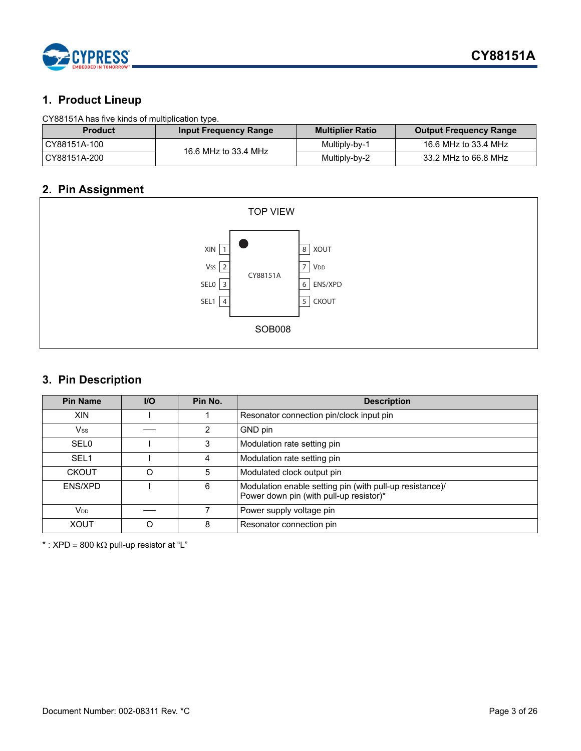

### **1. Product Lineup**

### CY88151A has five kinds of multiplication type.

| <b>Product</b> | <b>Input Frequency Range</b> | <b>Multiplier Ratio</b> | <b>Output Frequency Range</b> |
|----------------|------------------------------|-------------------------|-------------------------------|
| CY88151A-100   | 16.6 MHz to 33.4 MHz         | Multiply-by-1           | 16.6 MHz to 33.4 MHz          |
| CY88151A-200   |                              | Multiply-by-2           | 33.2 MHz to 66.8 MHz          |

## <span id="page-2-0"></span>**2. Pin Assignment**



## <span id="page-2-1"></span>**3. Pin Description**

| <b>Pin Name</b>        | $II$     | Pin No. | <b>Description</b>                                                                                  |
|------------------------|----------|---------|-----------------------------------------------------------------------------------------------------|
| <b>XIN</b>             |          |         | Resonator connection pin/clock input pin                                                            |
| Vss                    |          |         | GND pin                                                                                             |
| <b>SEL0</b>            |          | 3       | Modulation rate setting pin                                                                         |
| SEL <sub>1</sub>       |          | 4       | Modulation rate setting pin                                                                         |
| <b>CKOUT</b>           | $\Omega$ | 5       | Modulated clock output pin                                                                          |
| ENS/XPD                |          | 6       | Modulation enable setting pin (with pull-up resistance)/<br>Power down pin (with pull-up resistor)* |
| <b>V</b> <sub>DD</sub> |          |         | Power supply voltage pin                                                                            |
| <b>XOUT</b>            | ∩        | 8       | Resonator connection pin                                                                            |

\* : XPD = 800 k $\Omega$  pull-up resistor at "L"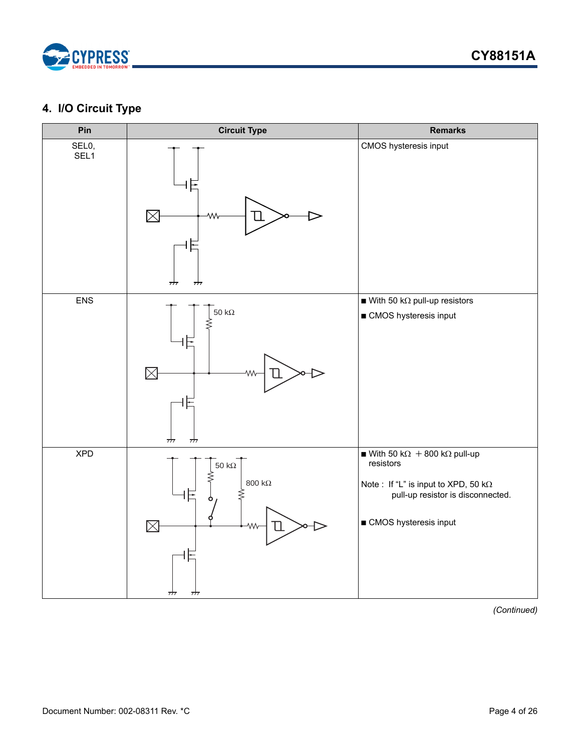

## <span id="page-3-0"></span>**4. I/O Circuit Type**



*(Continued)*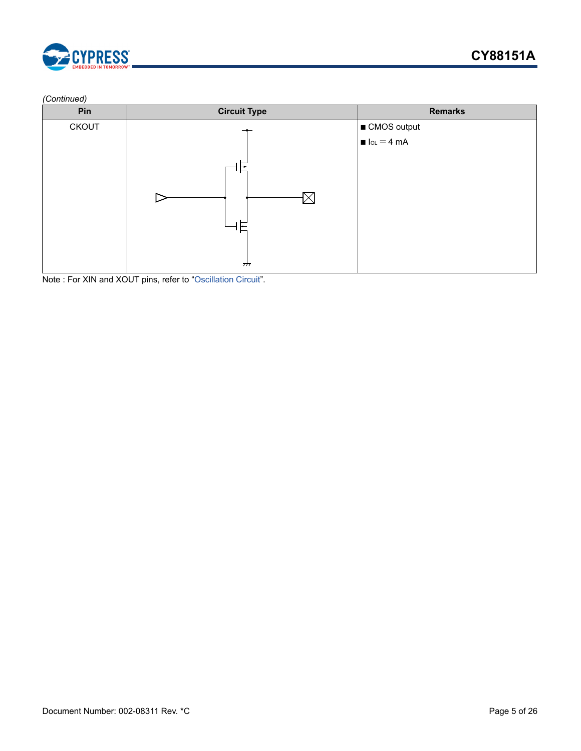

#### *(Continued)*

| Pin          | <b>Circuit Type</b>      | <b>Remarks</b>                         |
|--------------|--------------------------|----------------------------------------|
| <b>CKOUT</b> |                          | ■ CMOS output                          |
|              |                          | $\blacksquare$ $I_{OL} = 4 \text{ mA}$ |
|              | $\overline{\phantom{a}}$ |                                        |

Note : For XIN and XOUT pins, refer to "[Oscillation Circuit](#page-19-0)".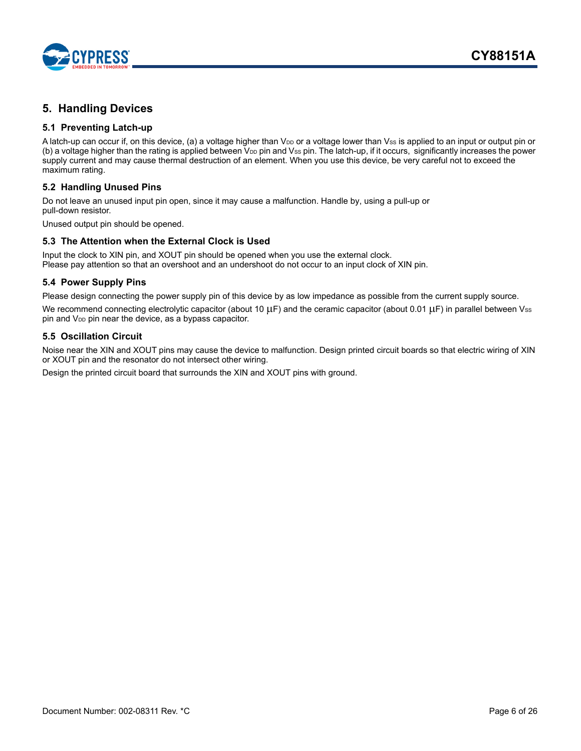

## <span id="page-5-0"></span>**5. Handling Devices**

### <span id="page-5-1"></span>**5.1 Preventing Latch-up**

A latch-up can occur if, on this device, (a) a voltage higher than V<sub>DD</sub> or a voltage lower than Vss is applied to an input or output pin or (b) a voltage higher than the rating is applied between  $V_{DD}$  pin and  $V_{SS}$  pin. The latch-up, if it occurs, significantly increases the power supply current and may cause thermal destruction of an element. When you use this device, be very careful not to exceed the maximum rating.

#### <span id="page-5-2"></span>**5.2 Handling Unused Pins**

Do not leave an unused input pin open, since it may cause a malfunction. Handle by, using a pull-up or pull-down resistor.

Unused output pin should be opened.

#### <span id="page-5-3"></span>**5.3 The Attention when the External Clock is Used**

Input the clock to XIN pin, and XOUT pin should be opened when you use the external clock. Please pay attention so that an overshoot and an undershoot do not occur to an input clock of XIN pin.

#### <span id="page-5-4"></span>**5.4 Power Supply Pins**

Please design connecting the power supply pin of this device by as low impedance as possible from the current supply source. We recommend connecting electrolytic capacitor (about 10  $\mu$ F) and the ceramic capacitor (about 0.01  $\mu$ F) in parallel between Vss pin and V<sub>DD</sub> pin near the device, as a bypass capacitor.

### <span id="page-5-5"></span>**5.5 Oscillation Circuit**

Noise near the XIN and XOUT pins may cause the device to malfunction. Design printed circuit boards so that electric wiring of XIN or XOUT pin and the resonator do not intersect other wiring.

Design the printed circuit board that surrounds the XIN and XOUT pins with ground.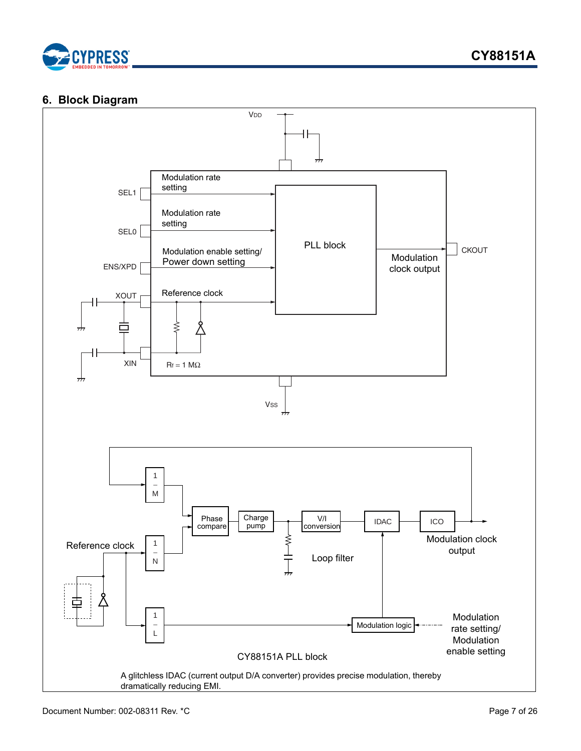

### <span id="page-6-0"></span>**6. Block Diagram**

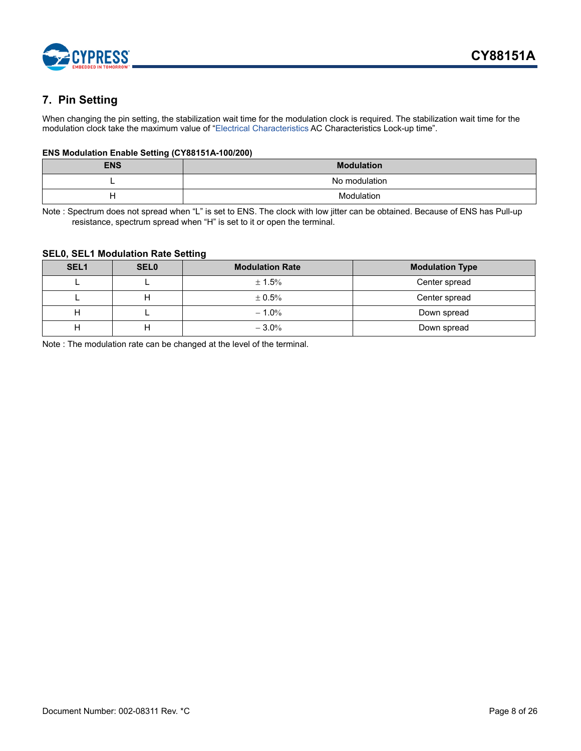

## <span id="page-7-0"></span>**7. Pin Setting**

When changing the pin setting, the stabilization wait time for the modulation clock is required. The stabilization wait time for the modulation clock take the maximum value of ["Electrical Characteristics](#page-11-0) AC Characteristics Lock-up time".

#### **ENS Modulation Enable Setting (CY88151A-100/200)**

| <b>ENS</b> | <b>Modulation</b> |
|------------|-------------------|
| -          | No modulation     |
| −          | Modulation        |

Note : Spectrum does not spread when "L" is set to ENS. The clock with low jitter can be obtained. Because of ENS has Pull-up resistance, spectrum spread when "H" is set to it or open the terminal.

#### **SEL0, SEL1 Modulation Rate Setting**

| SEL <sub>1</sub> | <b>SEL0</b> | <b>Modulation Rate</b> | <b>Modulation Type</b> |
|------------------|-------------|------------------------|------------------------|
|                  |             | $\pm$ 1.5%             | Center spread          |
|                  |             | $\pm 0.5\%$            | Center spread          |
| н                |             | $-1.0%$                | Down spread            |
|                  |             | $-3.0%$                | Down spread            |

Note : The modulation rate can be changed at the level of the terminal.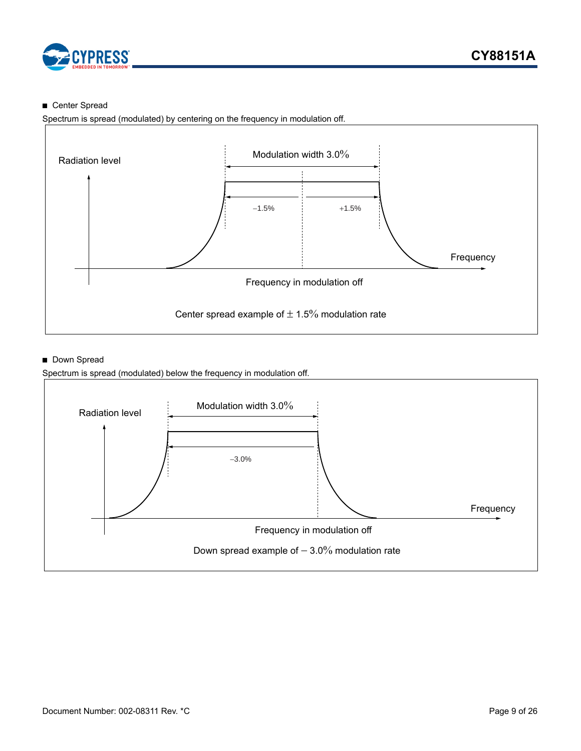

### ■ Center Spread

Spectrum is spread (modulated) by centering on the frequency in modulation off.



### ■ Down Spread

Spectrum is spread (modulated) below the frequency in modulation off.

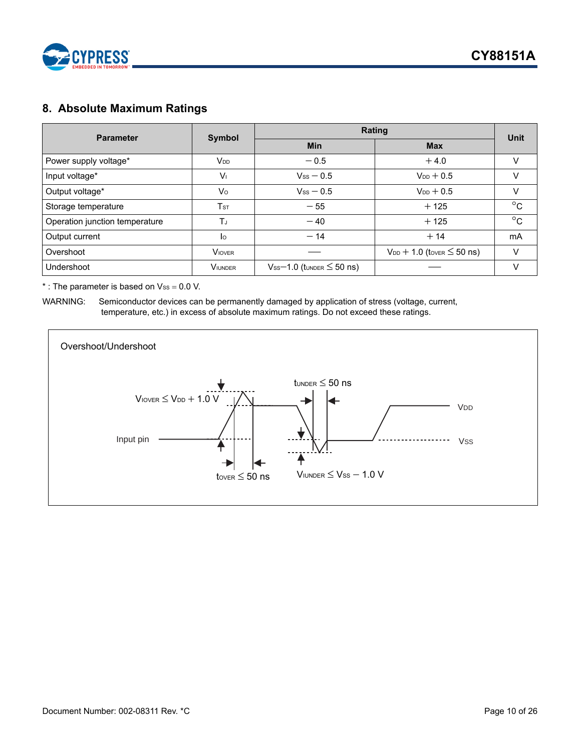

## <span id="page-9-0"></span>**8. Absolute Maximum Ratings**

| <b>Parameter</b>               |                        | Rating                              |                                     |              |  |
|--------------------------------|------------------------|-------------------------------------|-------------------------------------|--------------|--|
|                                | Symbol                 | <b>Min</b>                          | <b>Max</b>                          | <b>Unit</b>  |  |
| Power supply voltage*          | <b>V</b> <sub>DD</sub> | $-0.5$                              | $+4.0$                              |              |  |
| Input voltage*                 | $V_{1}$                | $V_{SS}$ $-$ 0.5                    | $V_{DD}$ + 0.5                      | v            |  |
| Output voltage*                | Vo                     | $V_{SS}$ $-$ 0.5                    | $V_{DD} + 0.5$                      | V            |  |
| Storage temperature            | T <sub>ST</sub>        | $-55$                               | $+125$                              | $^{\circ}$ C |  |
| Operation junction temperature | $T_{J}$                | $-40$                               | $+125$                              | $^{\circ}$ C |  |
| Output current                 | lo                     | $-14$                               | $+14$                               | <b>mA</b>    |  |
| Overshoot                      | <b>VIOVER</b>          |                                     | $V_{DD}$ + 1.0 (tover $\leq$ 50 ns) | V            |  |
| Undershoot                     | <b>VIUNDER</b>         | $V_{SS}$ –1.0 (tunder $\leq$ 50 ns) |                                     | v            |  |

 $*$ : The parameter is based on  $V_{ss} = 0.0$  V.

WARNING: Semiconductor devices can be permanently damaged by application of stress (voltage, current, temperature, etc.) in excess of absolute maximum ratings. Do not exceed these ratings.

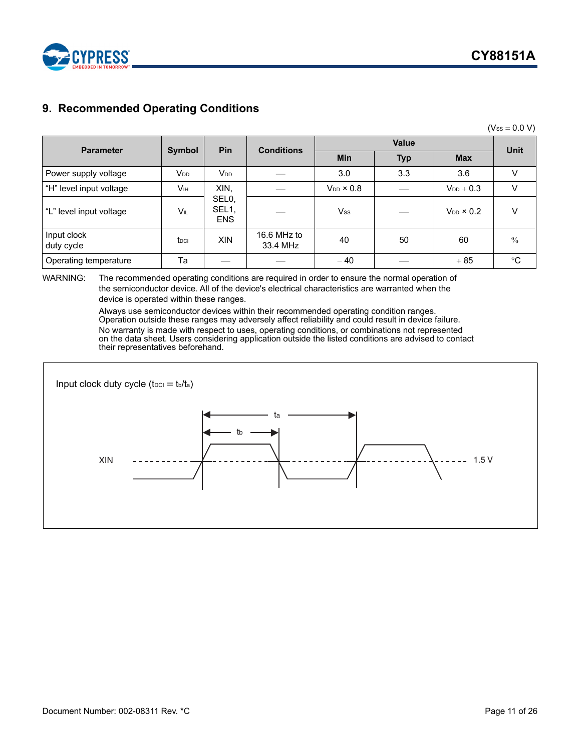

## <span id="page-10-0"></span>**9. Recommended Operating Conditions**

 $(V_{SS} = 0.0 V)$ 

| <b>Parameter</b>          |                        | Pin                                       | <b>Conditions</b>       |                     | <b>Unit</b> |                     |               |
|---------------------------|------------------------|-------------------------------------------|-------------------------|---------------------|-------------|---------------------|---------------|
|                           | Symbol                 |                                           |                         | Min                 | <b>Typ</b>  | <b>Max</b>          |               |
| Power supply voltage      | <b>V</b> <sub>DD</sub> | <b>V</b> <sub>DD</sub>                    |                         | 3.0                 | 3.3         | 3.6                 | V             |
| "H" level input voltage   | Vıн                    | XIN,                                      |                         | $V_{DD} \times 0.8$ |             | $V_{DD}$ + 0.3      | V             |
| "L" level input voltage   | VIL                    | SEL <sub>0</sub> ,<br>SEL1,<br><b>ENS</b> |                         | $V_{\rm SS}$        |             | $V_{DD} \times 0.2$ | $\vee$        |
| Input clock<br>duty cycle | t <sub>DCI</sub>       | <b>XIN</b>                                | 16.6 MHz to<br>33.4 MHz | 40                  | 50          | 60                  | $\frac{0}{0}$ |
| Operating temperature     | Ta                     |                                           |                         | $-40$               |             | $+85$               | $^{\circ}C$   |

#### WARNING: The recommended operating conditions are required in order to ensure the normal operation of the semiconductor device. All of the device's electrical characteristics are warranted when the device is operated within these ranges.

Always use semiconductor devices within their recommended operating condition ranges. Operation outside these ranges may adversely affect reliability and could result in device failure. No warranty is made with respect to uses, operating conditions, or combinations not represented on the data sheet. Users considering application outside the listed conditions are advised to contact their representatives beforehand.

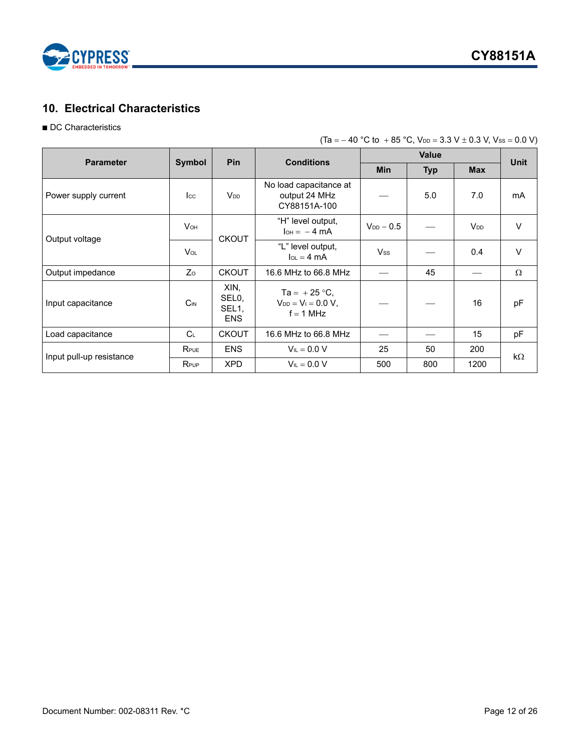

## <span id="page-11-0"></span>**10. Electrical Characteristics**

### ■ DC Characteristics

| $(Ta = -40 °C to +85 °C, V_{DD} = 3.3 V \pm 0.3 V, V_{SS} = 0.0 V)$ |  |  |
|---------------------------------------------------------------------|--|--|
|                                                                     |  |  |

| <b>Parameter</b>         | Symbol                |                                                 | Pin<br><b>Conditions</b>                                  |                | <b>Value</b> |                        | <b>Unit</b> |
|--------------------------|-----------------------|-------------------------------------------------|-----------------------------------------------------------|----------------|--------------|------------------------|-------------|
|                          |                       |                                                 |                                                           | <b>Min</b>     | <b>Typ</b>   | <b>Max</b>             |             |
| Power supply current     | $_{\rm lcc}$          | <b>V<sub>DD</sub></b>                           | No load capacitance at<br>output 24 MHz<br>CY88151A-100   |                | 5.0          | 7.0                    | mA          |
| Output voltage           | <b>V<sub>OH</sub></b> | <b>CKOUT</b>                                    | "H" level output,<br>$I_{OH} = -4 mA$                     | $V_{DD}$ - 0.5 |              | <b>V</b> <sub>DD</sub> | $\vee$      |
|                          | V <sub>OL</sub>       |                                                 | "L" level output,<br>$I_{OL} = 4 \text{ mA}$              | <b>Vss</b>     |              | 0.4                    | $\vee$      |
| Output impedance         | Zo                    | <b>CKOUT</b>                                    | 16.6 MHz to 66.8 MHz                                      |                | 45           |                        | Ω           |
| Input capacitance        | $C_{IN}$              | XIN,<br>SEL <sub>0</sub><br>SEL1,<br><b>ENS</b> | Ta = $+25$ °C,<br>$V_{DD} = V_1 = 0.0 V$ ,<br>$f = 1$ MHz |                |              | 16                     | pF          |
| Load capacitance         | C <sub>L</sub>        | <b>CKOUT</b>                                    | 16.6 MHz to 66.8 MHz                                      |                |              | 15                     | pF          |
|                          | RPUE                  | <b>ENS</b>                                      | $V_{IL} = 0.0 V$                                          | 25             | 50           | 200                    | $k\Omega$   |
| Input pull-up resistance | RPUP                  | <b>XPD</b>                                      | $V_{\parallel} = 0.0 V$                                   | 500            | 800          | 1200                   |             |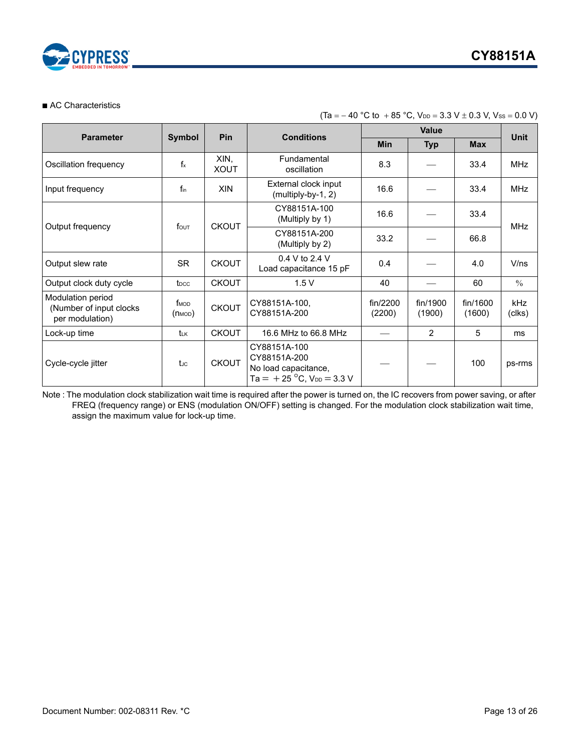

#### ■ AC Characteristics

| <b>Parameter</b>                                                | <b>Symbol</b>                   | <b>Pin</b>          | <b>Conditions</b>                                                                              |                    | <b>Unit</b>        |                    |               |  |
|-----------------------------------------------------------------|---------------------------------|---------------------|------------------------------------------------------------------------------------------------|--------------------|--------------------|--------------------|---------------|--|
|                                                                 |                                 |                     |                                                                                                | Min                | <b>Typ</b>         | <b>Max</b>         |               |  |
| Oscillation frequency                                           | $f_x$                           | XIN,<br><b>XOUT</b> | Fundamental<br>oscillation                                                                     | 8.3                |                    | 33.4               | MHz           |  |
| Input frequency                                                 | fin                             | <b>XIN</b>          | External clock input<br>(multiply-by-1, 2)                                                     | 16.6               |                    | 33.4               | <b>MHz</b>    |  |
| Output frequency                                                | $f_{\text{OUT}}$                | <b>CKOUT</b>        | CY88151A-100<br>(Multiply by 1)                                                                | 16.6               |                    | 33.4               | <b>MHz</b>    |  |
|                                                                 |                                 |                     | CY88151A-200<br>(Multiply by 2)                                                                | 33.2               |                    | 66.8               |               |  |
| Output slew rate                                                | SR                              | <b>CKOUT</b>        | $0.4 V$ to 2.4 V<br>Load capacitance 15 pF                                                     | 0.4                |                    | 4.0                | V/ns          |  |
| Output clock duty cycle                                         | t <sub>DCC</sub>                | <b>CKOUT</b>        | 1.5V                                                                                           | 40                 |                    | 60                 | $\%$          |  |
| Modulation period<br>(Number of input clocks<br>per modulation) | f <sub>MOD</sub><br>$(m_{MOD})$ | <b>CKOUT</b>        | CY88151A-100,<br>CY88151A-200                                                                  | fin/2200<br>(2200) | fin/1900<br>(1900) | fin/1600<br>(1600) | kHz<br>(clks) |  |
| Lock-up time                                                    | tư                              | <b>CKOUT</b>        | 16.6 MHz to 66.8 MHz                                                                           |                    | 2                  | 5                  | ms            |  |
| Cycle-cycle jitter                                              | tuc                             | <b>CKOUT</b>        | CY88151A-100<br>CY88151A-200<br>No load capacitance,<br>Ta = $+25$ °C, V <sub>DD</sub> = 3.3 V |                    |                    | 100                | ps-rms        |  |

 $(Ta = -40 °C to + 85 °C, V_{DD} = 3.3 V \pm 0.3 V, V_{SS} = 0.0 V)$ 

Note : The modulation clock stabilization wait time is required after the power is turned on, the IC recovers from power saving, or after FREQ (frequency range) or ENS (modulation ON/OFF) setting is changed. For the modulation clock stabilization wait time, assign the maximum value for lock-up time.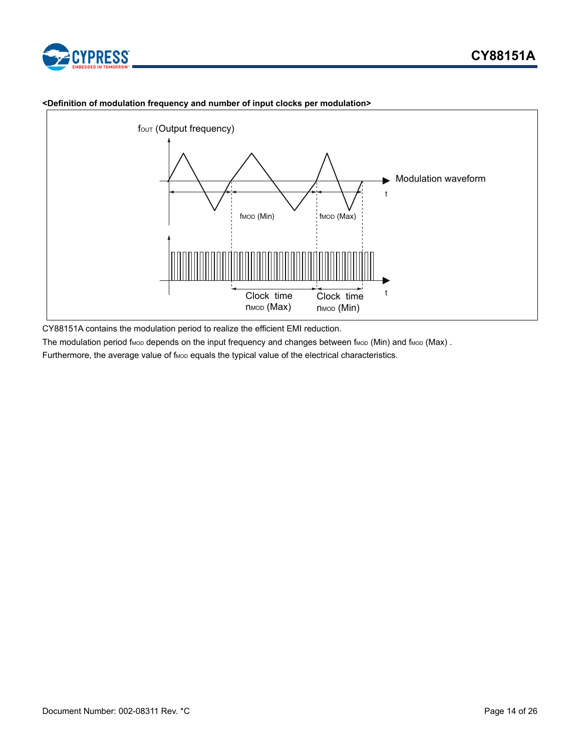



#### **<Definition of modulation frequency and number of input clocks per modulation>**

CY88151A contains the modulation period to realize the efficient EMI reduction.

The modulation period f<sub>MOD</sub> depends on the input frequency and changes between f<sub>MOD</sub> (Min) and f<sub>MOD</sub> (Max).

Furthermore, the average value of f<sub>MOD</sub> equals the typical value of the electrical characteristics.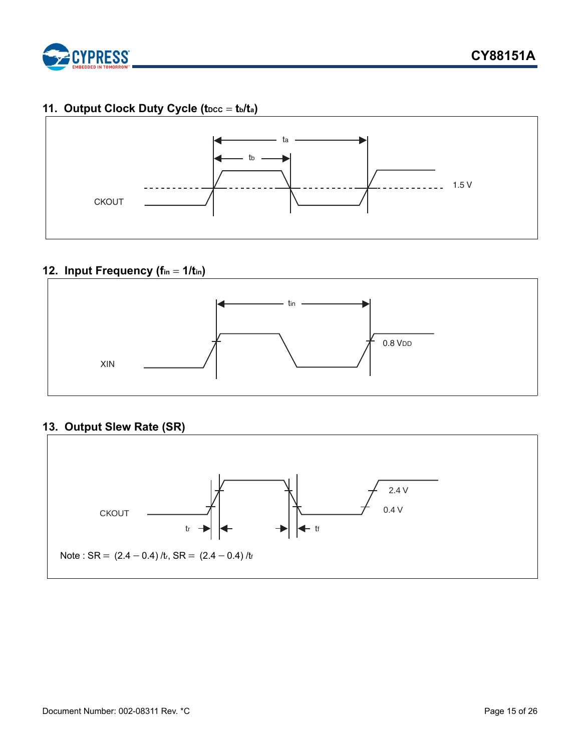

## <span id="page-14-0"></span>11. Output Clock Duty Cycle (t<sub>DCC</sub> = t<sub>b</sub>/t<sub>a</sub>)



## <span id="page-14-1"></span>**12. Input Frequency (fin = 1/tin)**



## <span id="page-14-2"></span>**13. Output Slew Rate (SR)**

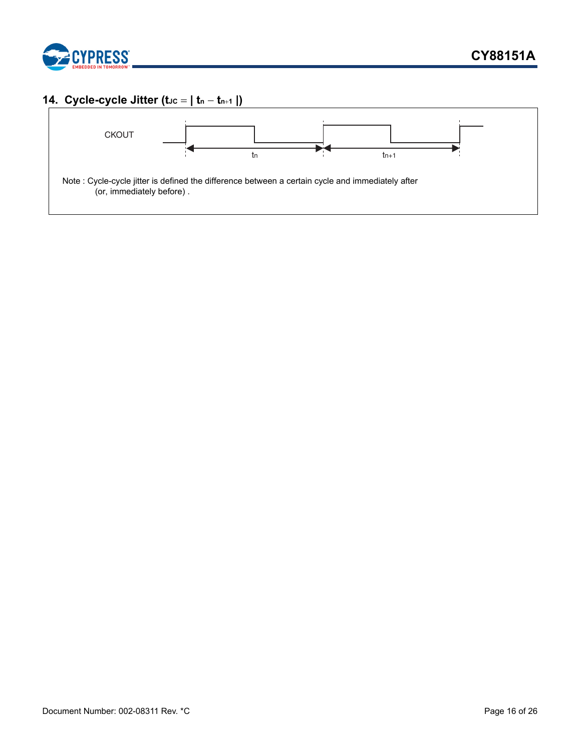

## <span id="page-15-0"></span>**14. Cycle-cycle Jitter (t**Jc =  $|$  tn - tn+1  $|$ )

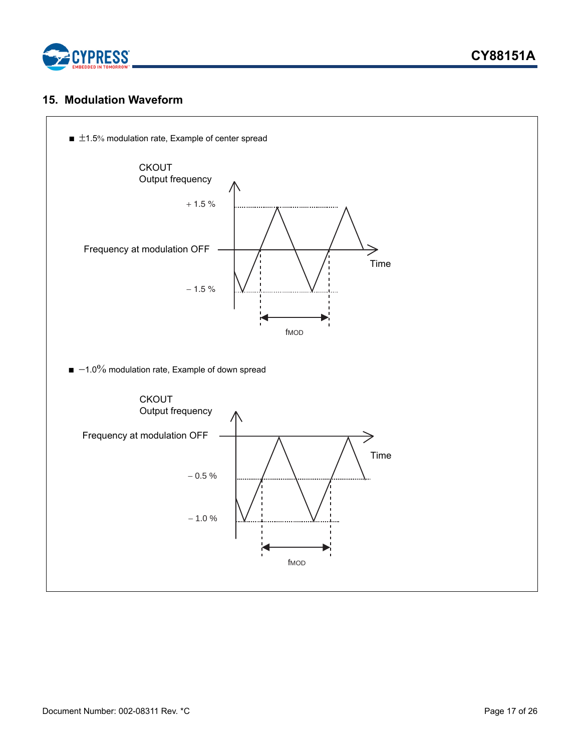

### <span id="page-16-0"></span>**15. Modulation Waveform**

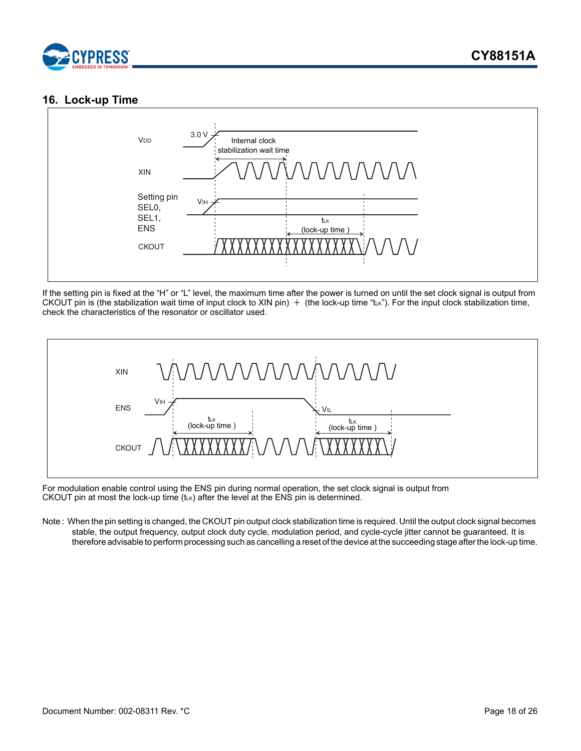

## <span id="page-17-0"></span>**16. Lock-up Time**



If the setting pin is fixed at the "H" or "L" level, the maximum time after the power is turned on until the set clock signal is output from CKOUT pin is (the stabilization wait time of input clock to XIN pin)  $+$  (the lock-up time "tLk"). For the input clock stabilization time, check the characteristics of the resonator or oscillator used.



For modulation enable control using the ENS pin during normal operation, the set clock signal is output from CKOUT pin at most the lock-up time  $(t\ltimes K)$  after the level at the ENS pin is determined.

Note : When the pin setting is changed, the CKOUT pin output clock stabilization time is required. Until the output clock signal becomes stable, the output frequency, output clock duty cycle, modulation period, and cycle-cycle jitter cannot be guaranteed. It is therefore advisable to perform processing such as cancelling a reset of the device at the succeeding stage after the lock-up time.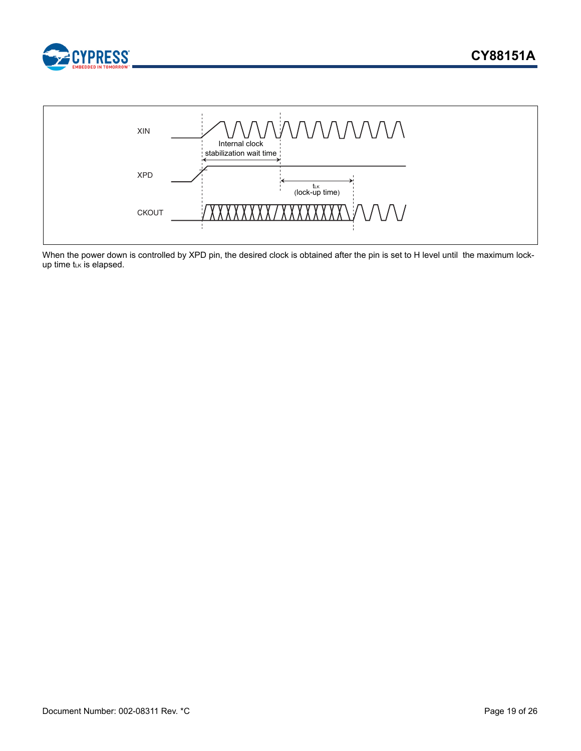



When the power down is controlled by XPD pin, the desired clock is obtained after the pin is set to H level until the maximum lockup time  $t\ltimes$  is elapsed.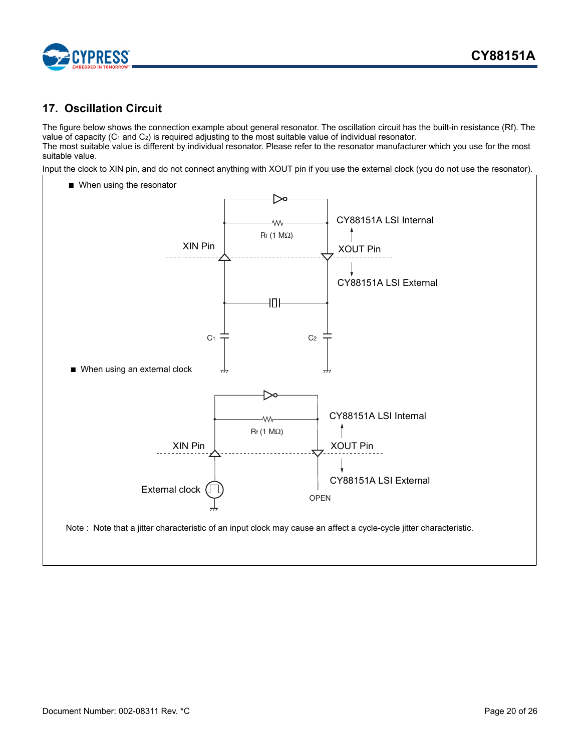

## <span id="page-19-0"></span>**17. Oscillation Circuit**

The figure below shows the connection example about general resonator. The oscillation circuit has the built-in resistance (Rf). The value of capacity  $(C_1$  and  $C_2$ ) is required adjusting to the most suitable value of individual resonator. The most suitable value is different by individual resonator. Please refer to the resonator manufacturer which you use for the most

suitable value. Input the clock to XIN pin, and do not connect anything with XOUT pin if you use the external clock (you do not use the resonator).

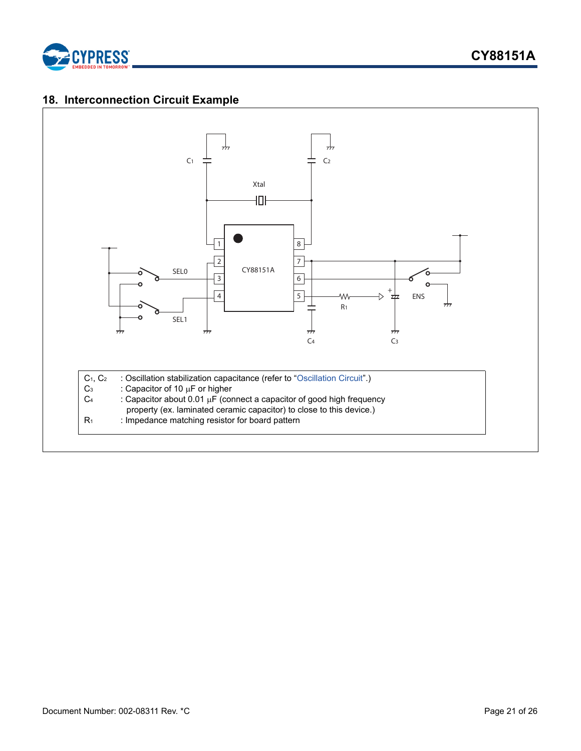

## <span id="page-20-0"></span>**18. Interconnection Circuit Example**

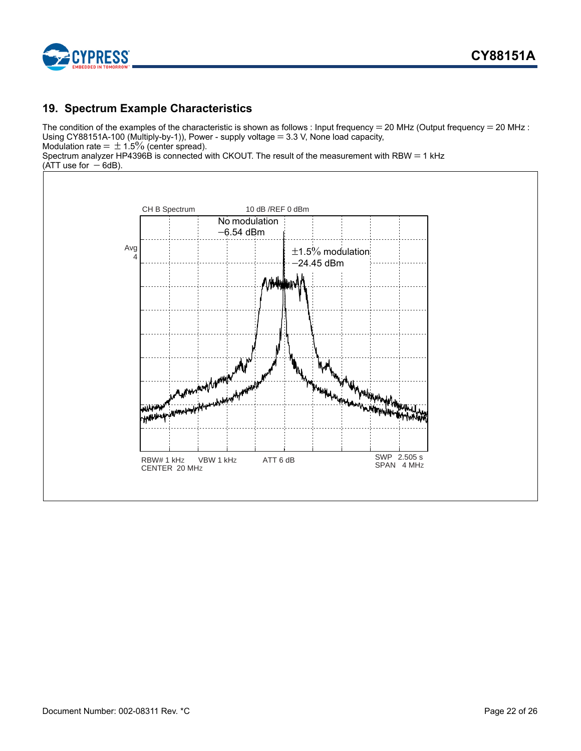

## <span id="page-21-0"></span>**19. Spectrum Example Characteristics**

The condition of the examples of the characteristic is shown as follows : Input frequency = 20 MHz (Output frequency = 20 MHz : Using CY88151A-100 (Multiply-by-1)), Power - supply voltage  $=$  3.3 V, None load capacity, Modulation rate =  $\pm$  1.5% (center spread).

Spectrum analyzer HP4396B is connected with CKOUT. The result of the measurement with RBW  $=$  1 kHz  $(ATT$  use for  $-6dB$ ).

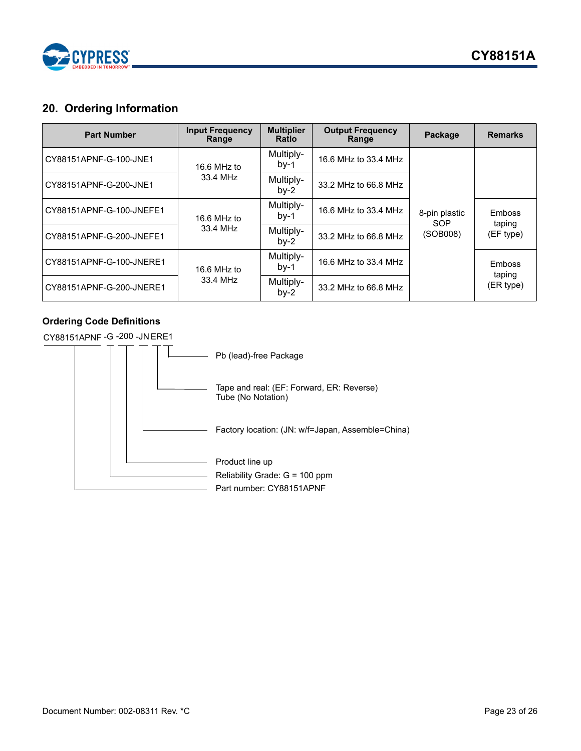

## <span id="page-22-0"></span>**20. Ordering Information**

| <b>Part Number</b>       | <b>Input Frequency</b><br>Range | <b>Multiplier</b><br><b>Ratio</b> | <b>Output Frequency</b><br>Range | Package                          | <b>Remarks</b>                       |
|--------------------------|---------------------------------|-----------------------------------|----------------------------------|----------------------------------|--------------------------------------|
| CY88151APNF-G-100-JNE1   | 16.6 MHz to                     | Multiply-<br>$by-1$               | 16.6 MHz to 33.4 MHz             | 8-pin plastic<br>SOP<br>(SOB008) |                                      |
| CY88151APNF-G-200-JNE1   | 33.4 MHz                        | Multiply-<br>$by-2$               | 33.2 MHz to 66.8 MHz             |                                  |                                      |
| CY88151APNF-G-100-JNEFE1 | 16.6 MHz to                     | Multiply-<br>$bv-1$               | 16.6 MHz to 33.4 MHz             |                                  | <b>Emboss</b><br>taping<br>(EF type) |
| CY88151APNF-G-200-JNEFE1 | 33.4 MHz                        | Multiply-<br>$bv-2$               | 33.2 MHz to 66.8 MHz             |                                  |                                      |
| CY88151APNF-G-100-JNERE1 | 16.6 MHz to                     | Multiply-<br>$by-1$               | 16.6 MHz to 33.4 MHz             |                                  | Emboss<br>taping<br>(ER type)        |
| CY88151APNF-G-200-JNERE1 | 33.4 MHz                        | Multiply-<br>$by-2$               | 33.2 MHz to 66.8 MHz             |                                  |                                      |

### **Ordering Code Definitions**

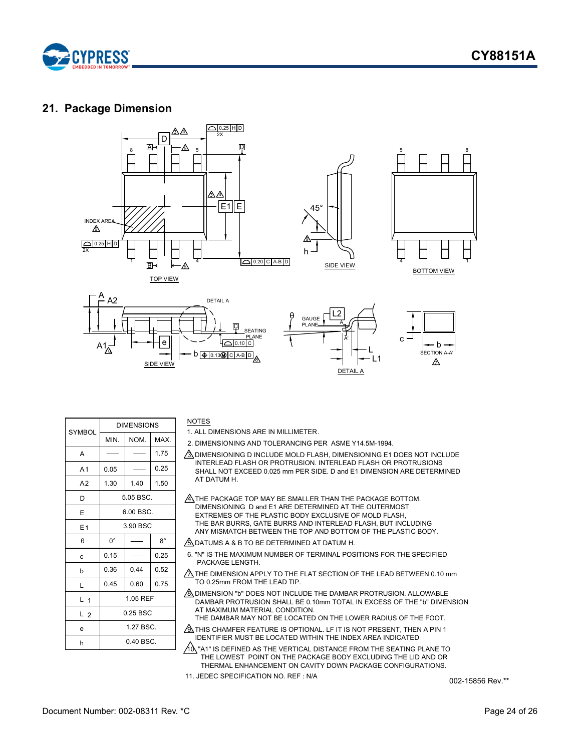



### <span id="page-23-0"></span>**21. Package Dimension**



|                | <b>DIMENSIONS</b> |      |             |  |
|----------------|-------------------|------|-------------|--|
| <b>SYMBOL</b>  | MIN.              | NOM. | MAX.        |  |
| A              |                   |      | 1.75        |  |
| A <sub>1</sub> | 0.05              |      | 0.25        |  |
| A <sub>2</sub> | 1.30              | 1.40 | 1.50        |  |
| D              | 5.05 BSC.         |      |             |  |
| E              | 6.00 BSC.         |      |             |  |
| E <sub>1</sub> | 3.90 BSC          |      |             |  |
| θ              | $0^{\circ}$       |      | $8^{\circ}$ |  |
| C              | 0.15              |      | 0.25        |  |
| b              | 0.36              | 0.44 | 0.52        |  |
| L              | 0.45              | 0.60 | 0.75        |  |
| L <sub>1</sub> | 1.05 REF          |      |             |  |
| L <sub>2</sub> | 0.25 BSC          |      |             |  |
| e              | 1.27 BSC.         |      |             |  |
| h              | $0.40$ BSC.       |      |             |  |

#### **NOTES**

1. ALL DIMENSIONS ARE IN MILLIMETER.

- 2. DIMENSIONING AND TOLERANCING PER ASME Y14.5M-1994.
- $\sqrt{3}$  dimensioning D include mold flash, dimensioning E1 does not include INTERLEAD FLASH OR PROTRUSION. INTERLEAD FLASH OR PROTRUSIONS SHALL NOT EXCEED 0.025 mm PER SIDE. D and E1 DIMENSION ARE DETERMINED AT DATUM H.
- $\mathcal{A}_\lambda$  THE PACKAGE TOP MAY BE SMALLER THAN THE PACKAGE BOTTOM. DIMENSIONING D and E1 ARE DETERMINED AT THE OUTERMOST EXTREMES OF THE PLASTIC BODY EXCLUSIVE OF MOLD FLASH, THE BAR BURRS, GATE BURRS AND INTERLEAD FLASH, BUT INCLUDING ANY MISMATCH BETWEEN THE TOP AND BOTTOM OF THE PLASTIC BODY.

 $\mathcal{B}_2$  DATUMS A & B TO BE DETERMINED AT DATUM H.

- 6. "N" IS THE MAXIMUM NUMBER OF TERMINAL POSITIONS FOR THE SPECIFIED PACKAGE I FNGTH 3 \$ & . \$ \* ( / ( 1 \* 7 +
- $\triangle$  THE DIMENSION APPLY TO THE FLAT SECTION OF THE LEAD BETWEEN 0.10 mm TO 0.25mm FROM THE LEAD TIP.
- $\Diamond$  DIMENSION "b" DOES NOT INCLUDE THE DAMBAR PROTRUSION. ALLOWABLE DAMBAR PROTRUSION SHALL BE 0.10mm TOTAL IN EXCESS OF THE "b" DIMENSION AT MAXIMUM MATERIAL CONDITION. THE DAMBAR MAY NOT BE LOCATED ON THE LOWER RADIUS OF THE FOOT.
- $\sqrt{\mathbf{2}}$  THIS CHAMFER FEATURE IS OPTIONAL. LF IT IS NOT PRESENT, THEN A PIN 1 IDENTIFIER MUST BE LOCATED WITHIN THE INDEX AREA INDICATED
- ${\big /}10$ , "A1" IS DEFINED AS THE VERTICAL DISTANCE FROM THE SEATING PLANE TO THE LOWEST POINT ON THE PACKAGE BODY EXCLUDING THE LID AND OR THERMAL ENHANCEMENT ON CAVITY DOWN PACKAGE CONFIGURATIONS.
- 11. JEDEC SPECIFICATION NO. REF : N/A

002-15856 Rev.\*\*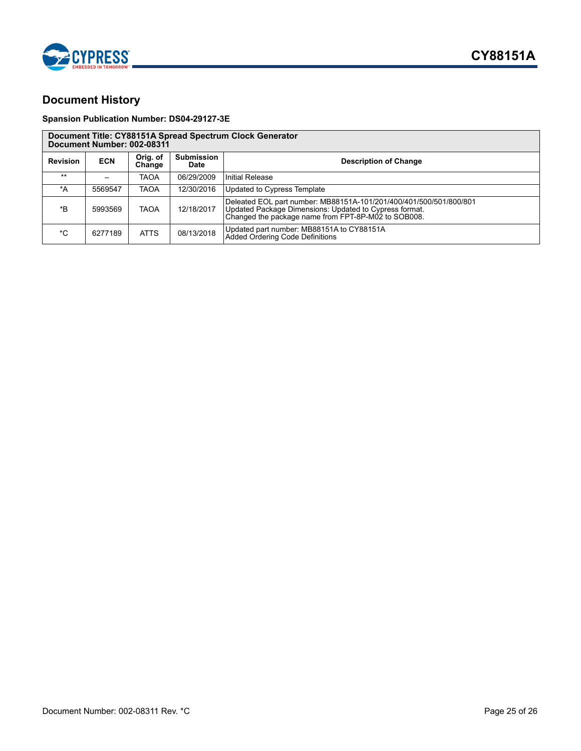

## <span id="page-24-0"></span>**Document History**

### **Spansion Publication Number: DS04-29127-3E**

| Document Title: CY88151A Spread Spectrum Clock Generator<br>Document Number: 002-08311 |            |                    |                           |                                                                                                                                                                                     |
|----------------------------------------------------------------------------------------|------------|--------------------|---------------------------|-------------------------------------------------------------------------------------------------------------------------------------------------------------------------------------|
| <b>Revision</b>                                                                        | <b>ECN</b> | Orig. of<br>Change | <b>Submission</b><br>Date | <b>Description of Change</b>                                                                                                                                                        |
| $***$                                                                                  |            | <b>TAOA</b>        | 06/29/2009                | Initial Release                                                                                                                                                                     |
| *A                                                                                     | 5569547    | <b>TAOA</b>        | 12/30/2016                | Updated to Cypress Template                                                                                                                                                         |
| *B                                                                                     | 5993569    | <b>TAOA</b>        | 12/18/2017                | Deleated EOL part number: MB88151A-101/201/400/401/500/501/800/801<br>Updated Package Dimensions: Updated to Cypress format.<br>Changed the package name from FPT-8P-M02 to SOB008. |
| $^{\star}$ C                                                                           | 6277189    | <b>ATTS</b>        | 08/13/2018                | Updated part number: MB88151A to CY88151A<br>Added Ordering Code Definitions                                                                                                        |